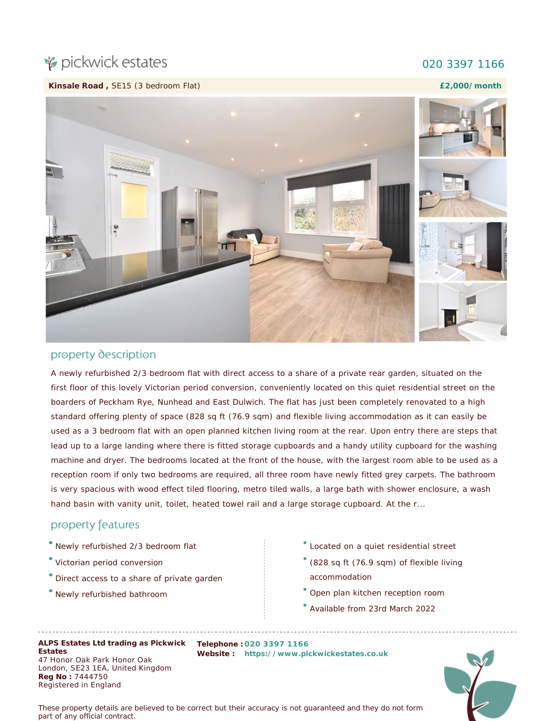## pickwick estates

## 020 3397 1166

**Kinsale Road ,** SE15 (3 bedroom Flat)

**£2,000/month**



## property description

A newly refurbished 2/3 bedroom flat with direct access to a share of a private rear garden, situated on the first floor of this lovely Victorian period conversion, conveniently located on this quiet residential street on the boarders of Peckham Rye, Nunhead and East Dulwich. The flat has just been completely renovated to a high standard offering plenty of space (828 sq ft (76.9 sqm) and flexible living accommodation as it can easily be used as a 3 bedroom flat with an open planned kitchen living room at the rear. Upon entry there are steps that lead up to a large landing where there is fitted storage cupboards and a handy utility cupboard for the washing machine and dryer. The bedrooms located at the front of the house, with the largest room able to be used as a reception room if only two bedrooms are required, all three room have newly fitted grey carpets. The bathroom is very spacious with wood effect tiled flooring, metro tiled walls, a large bath with shower enclosure, a wash hand basin with vanity unit, toilet, heated towel rail and a large storage cupboard. At the r...

**Website : [https://www.pickwickestates.co.uk](https://www.pickwickestates.co.uk/)**

## property features

- Newly refurbished 2/3 bedroom flat
- Victorian period conversion
- Direct access to a share of private garden
- Newly refurbished bathroom
- Located on a quiet residential street
- (828 sq ft (76.9 sqm) of flexible living accommodation
- Open plan kitchen reception room
- Available from 23rd March 2022

**Registered in England**<br>Registered in England **ALPS Estates Ltd trading as Pickwick Telephone : 020 3397 1166 Estates** 47 Honor Oak Park Honor Oak London, SE23 1EA, United Kingdom **Reg No :** 7444750

 $\sqrt{2}$ **£2,000/month**

*These property details are believed to be correct but their accuracy is not guaranteed and they do not form part of any official contract.*